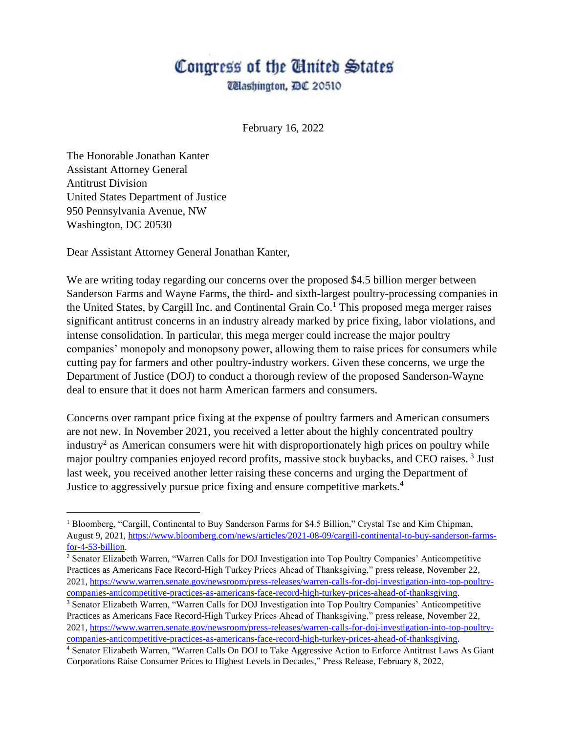## Congress of the United States

*Ulashington, DC 20510* 

February 16, 2022

The Honorable Jonathan Kanter Assistant Attorney General Antitrust Division United States Department of Justice 950 Pennsylvania Avenue, NW Washington, DC 20530

 $\overline{a}$ 

Dear Assistant Attorney General Jonathan Kanter,

We are writing today regarding our concerns over the proposed \$4.5 billion merger between Sanderson Farms and Wayne Farms, the third- and sixth-largest poultry-processing companies in the United States, by Cargill Inc. and Continental Grain  $Co<sup>1</sup>$  This proposed mega merger raises significant antitrust concerns in an industry already marked by price fixing, labor violations, and intense consolidation. In particular, this mega merger could increase the major poultry companies' monopoly and monopsony power, allowing them to raise prices for consumers while cutting pay for farmers and other poultry-industry workers. Given these concerns, we urge the Department of Justice (DOJ) to conduct a thorough review of the proposed Sanderson-Wayne deal to ensure that it does not harm American farmers and consumers.

Concerns over rampant price fixing at the expense of poultry farmers and American consumers are not new. In November 2021, you received a letter about the highly concentrated poultry industry<sup>2</sup> as American consumers were hit with disproportionately high prices on poultry while major poultry companies enjoyed record profits, massive stock buybacks, and CEO raises.<sup>3</sup> Just last week, you received another letter raising these concerns and urging the Department of Justice to aggressively pursue price fixing and ensure competitive markets.<sup>4</sup>

<sup>&</sup>lt;sup>1</sup> Bloomberg, "Cargill, Continental to Buy Sanderson Farms for \$4.5 Billion," Crystal Tse and Kim Chipman, August 9, 2021, [https://www.bloomberg.com/news/articles/2021-08-09/cargill-continental-to-buy-sanderson-farms](https://www.bloomberg.com/news/articles/2021-08-09/cargill-continental-to-buy-sanderson-farms-for-4-53-billion)[for-4-53-billion.](https://www.bloomberg.com/news/articles/2021-08-09/cargill-continental-to-buy-sanderson-farms-for-4-53-billion)

<sup>2</sup> Senator Elizabeth Warren, "Warren Calls for DOJ Investigation into Top Poultry Companies' Anticompetitive Practices as Americans Face Record-High Turkey Prices Ahead of Thanksgiving," press release, November 22, 2021, [https://www.warren.senate.gov/newsroom/press-releases/warren-calls-for-doj-investigation-into-top-poultry](https://www.warren.senate.gov/newsroom/press-releases/warren-calls-for-doj-investigation-into-top-poultry-companies-anticompetitive-practices-as-americans-face-record-high-turkey-prices-ahead-of-thanksgiving)[companies-anticompetitive-practices-as-americans-face-record-high-turkey-prices-ahead-of-thanksgiving.](https://www.warren.senate.gov/newsroom/press-releases/warren-calls-for-doj-investigation-into-top-poultry-companies-anticompetitive-practices-as-americans-face-record-high-turkey-prices-ahead-of-thanksgiving)

<sup>3</sup> Senator Elizabeth Warren, "Warren Calls for DOJ Investigation into Top Poultry Companies' Anticompetitive Practices as Americans Face Record-High Turkey Prices Ahead of Thanksgiving," press release, November 22, 2021, [https://www.warren.senate.gov/newsroom/press-releases/warren-calls-for-doj-investigation-into-top-poultry](https://www.warren.senate.gov/newsroom/press-releases/warren-calls-for-doj-investigation-into-top-poultry-companies-anticompetitive-practices-as-americans-face-record-high-turkey-prices-ahead-of-thanksgiving)[companies-anticompetitive-practices-as-americans-face-record-high-turkey-prices-ahead-of-thanksgiving.](https://www.warren.senate.gov/newsroom/press-releases/warren-calls-for-doj-investigation-into-top-poultry-companies-anticompetitive-practices-as-americans-face-record-high-turkey-prices-ahead-of-thanksgiving)

<sup>4</sup> Senator Elizabeth Warren, "Warren Calls On DOJ to Take Aggressive Action to Enforce Antitrust Laws As Giant Corporations Raise Consumer Prices to Highest Levels in Decades," Press Release, February 8, 2022,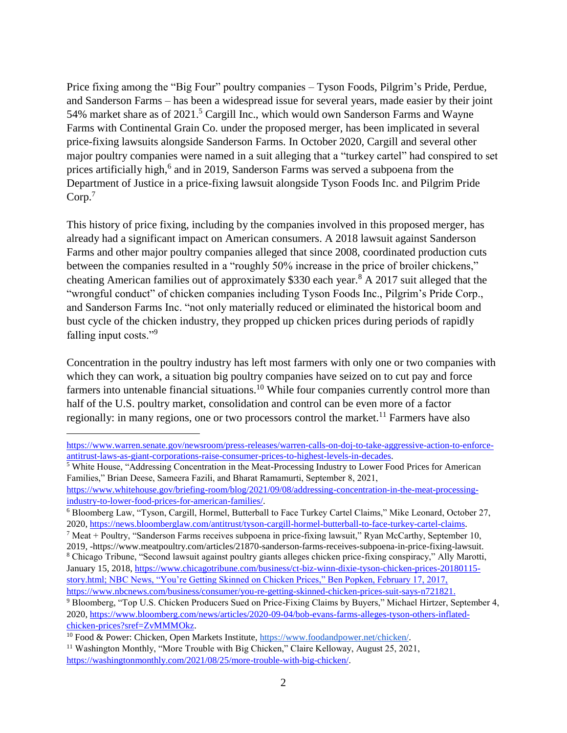Price fixing among the "Big Four" poultry companies – Tyson Foods, Pilgrim's Pride, Perdue, and Sanderson Farms – has been a widespread issue for several years, made easier by their joint 54% market share as of 2021.<sup>5</sup> Cargill Inc., which would own Sanderson Farms and Wayne Farms with Continental Grain Co. under the proposed merger, has been implicated in several price-fixing lawsuits alongside Sanderson Farms. In October 2020, Cargill and several other major poultry companies were named in a suit alleging that a "turkey cartel" had conspired to set prices artificially high,<sup>6</sup> and in 2019, Sanderson Farms was served a subpoena from the Department of Justice in a price-fixing lawsuit alongside Tyson Foods Inc. and Pilgrim Pride Corp.<sup>7</sup>

This history of price fixing, including by the companies involved in this proposed merger, has already had a significant impact on American consumers. A 2018 lawsuit against Sanderson Farms and other major poultry companies alleged that since 2008, coordinated production cuts between the companies resulted in a "roughly 50% increase in the price of broiler chickens," cheating American families out of approximately \$330 each year.<sup>8</sup> A 2017 suit alleged that the "wrongful conduct" of chicken companies including Tyson Foods Inc., Pilgrim's Pride Corp., and Sanderson Farms Inc. "not only materially reduced or eliminated the historical boom and bust cycle of the chicken industry, they propped up chicken prices during periods of rapidly falling input costs."<sup>9</sup>

Concentration in the poultry industry has left most farmers with only one or two companies with which they can work, a situation big poultry companies have seized on to cut pay and force farmers into untenable financial situations.<sup>10</sup> While four companies currently control more than half of the U.S. poultry market, consolidation and control can be even more of a factor regionally: in many regions, one or two processors control the market.<sup>11</sup> Farmers have also

 $\overline{a}$ 

[https://www.warren.senate.gov/newsroom/press-releases/warren-calls-on-doj-to-take-aggressive-action-to-enforce](https://www.warren.senate.gov/newsroom/press-releases/warren-calls-on-doj-to-take-aggressive-action-to-enforce-antitrust-laws-as-giant-corporations-raise-consumer-prices-to-highest-levels-in-decades)[antitrust-laws-as-giant-corporations-raise-consumer-prices-to-highest-levels-in-decades.](https://www.warren.senate.gov/newsroom/press-releases/warren-calls-on-doj-to-take-aggressive-action-to-enforce-antitrust-laws-as-giant-corporations-raise-consumer-prices-to-highest-levels-in-decades)

<sup>5</sup> White House, "Addressing Concentration in the Meat-Processing Industry to Lower Food Prices for American Families," Brian Deese, Sameera Fazili, and Bharat Ramamurti, September 8, 2021,

[https://www.whitehouse.gov/briefing-room/blog/2021/09/08/addressing-concentration-in-the-meat-processing](https://www.whitehouse.gov/briefing-room/blog/2021/09/08/addressing-concentration-in-the-meat-processing-industry-to-lower-food-prices-for-american-families/)[industry-to-lower-food-prices-for-american-families/.](https://www.whitehouse.gov/briefing-room/blog/2021/09/08/addressing-concentration-in-the-meat-processing-industry-to-lower-food-prices-for-american-families/)

<sup>6</sup> Bloomberg Law, "Tyson, Cargill, Hormel, Butterball to Face Turkey Cartel Claims," Mike Leonard, October 27, 2020, [https://news.bloomberglaw.com/antitrust/tyson-cargill-hormel-butterball-to-face-turkey-cartel-claims.](https://news.bloomberglaw.com/antitrust/tyson-cargill-hormel-butterball-to-face-turkey-cartel-claims)

<sup>&</sup>lt;sup>7</sup> Meat + Poultry, "Sanderson Farms receives subpoena in price-fixing lawsuit," Ryan McCarthy, September 10, 2019, -https://www.meatpoultry.com/articles/21870-sanderson-farms-receives-subpoena-in-price-fixing-lawsuit.

<sup>8</sup> Chicago Tribune, "Second lawsuit against poultry giants alleges chicken price-fixing conspiracy," Ally Marotti, January 15, 2018[, https://www.chicagotribune.com/business/ct-biz-winn-dixie-tyson-chicken-prices-20180115](https://www.chicagotribune.com/business/ct-biz-winn-dixie-tyson-chicken-prices-20180115-story.html) [story.html;](https://www.chicagotribune.com/business/ct-biz-winn-dixie-tyson-chicken-prices-20180115-story.html) NBC News, "You're Getting Skinned on Chicken Prices," Ben Popken, February 17, 2017, [https://www.nbcnews.com/business/consumer/you-re-getting-skinned-chicken-prices-suit-says-n721821.](https://www.nbcnews.com/business/consumer/you-re-getting-skinned-chicken-prices-suit-says-n721821)

<sup>9</sup> Bloomberg, "Top U.S. Chicken Producers Sued on Price-Fixing Claims by Buyers," Michael Hirtzer, September 4, 2020, [https://www.bloomberg.com/news/articles/2020-09-04/bob-evans-farms-alleges-tyson-others-inflated](https://www.bloomberg.com/news/articles/2020-09-04/bob-evans-farms-alleges-tyson-others-inflated-chicken-prices?sref=ZvMMMOkz)[chicken-prices?sref=ZvMMMOkz.](https://www.bloomberg.com/news/articles/2020-09-04/bob-evans-farms-alleges-tyson-others-inflated-chicken-prices?sref=ZvMMMOkz)

<sup>10</sup> Food & Power: Chicken, Open Markets Institute[, https://www.foodandpower.net/chicken/.](https://www.foodandpower.net/chicken/)

<sup>&</sup>lt;sup>11</sup> Washington Monthly, "More Trouble with Big Chicken," Claire Kelloway, August 25, 2021, [https://washingtonmonthly.com/2021/08/25/more-trouble-with-big-chicken/.](https://washingtonmonthly.com/2021/08/25/more-trouble-with-big-chicken/)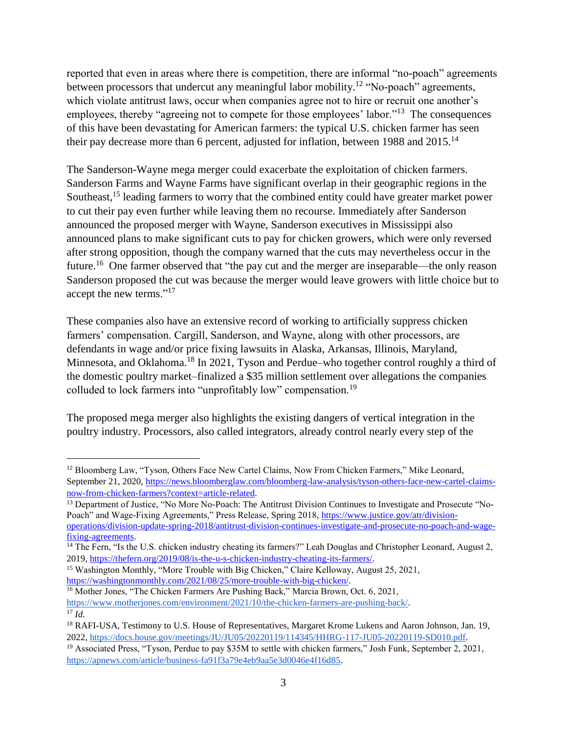reported that even in areas where there is competition, there are informal "no-poach" agreements between processors that undercut any meaningful labor mobility.<sup>12</sup> "No-poach" agreements, which violate antitrust laws, occur when companies agree not to hire or recruit one another's employees, thereby "agreeing not to compete for those employees' labor."<sup>13</sup> The consequences of this have been devastating for American farmers: the typical U.S. chicken farmer has seen their pay decrease more than 6 percent, adjusted for inflation, between 1988 and  $2015^{14}$ 

The Sanderson-Wayne mega merger could exacerbate the exploitation of chicken farmers. Sanderson Farms and Wayne Farms have significant overlap in their geographic regions in the Southeast,<sup>15</sup> leading farmers to worry that the combined entity could have greater market power to cut their pay even further while leaving them no recourse. Immediately after Sanderson announced the proposed merger with Wayne, Sanderson executives in Mississippi also announced plans to make significant cuts to pay for chicken growers, which were only reversed after strong opposition, though the company warned that the cuts may nevertheless occur in the future.<sup>16</sup> One farmer observed that "the pay cut and the merger are inseparable—the only reason Sanderson proposed the cut was because the merger would leave growers with little choice but to accept the new terms."<sup>17</sup>

These companies also have an extensive record of working to artificially suppress chicken farmers' compensation. Cargill, Sanderson, and Wayne, along with other processors, are defendants in wage and/or price fixing lawsuits in Alaska, Arkansas, Illinois, Maryland, Minnesota, and Oklahoma.<sup>18</sup> In 2021, Tyson and Perdue–who together control roughly a third of the domestic poultry market–finalized a \$35 million settlement over allegations the companies colluded to lock farmers into "unprofitably low" compensation.<sup>19</sup>

The proposed mega merger also highlights the existing dangers of vertical integration in the poultry industry. Processors, also called integrators, already control nearly every step of the

 $\overline{a}$ 

<sup>&</sup>lt;sup>12</sup> Bloomberg Law, "Tyson, Others Face New Cartel Claims, Now From Chicken Farmers," Mike Leonard, September 21, 2020, [https://news.bloomberglaw.com/bloomberg-law-analysis/tyson-others-face-new-cartel-claims](https://news.bloomberglaw.com/bloomberg-law-analysis/tyson-others-face-new-cartel-claims-now-from-chicken-farmers?context=article-related)[now-from-chicken-farmers?context=article-related.](https://news.bloomberglaw.com/bloomberg-law-analysis/tyson-others-face-new-cartel-claims-now-from-chicken-farmers?context=article-related)

<sup>&</sup>lt;sup>13</sup> Department of Justice, "No More No-Poach: The Antitrust Division Continues to Investigate and Prosecute "No-Poach" and Wage-Fixing Agreements," Press Release, Spring 2018, [https://www.justice.gov/atr/division](https://www.justice.gov/atr/division-operations/division-update-spring-2018/antitrust-division-continues-investigate-and-prosecute-no-poach-and-wage-fixing-agreements)[operations/division-update-spring-2018/antitrust-division-continues-investigate-and-prosecute-no-poach-and-wage](https://www.justice.gov/atr/division-operations/division-update-spring-2018/antitrust-division-continues-investigate-and-prosecute-no-poach-and-wage-fixing-agreements)[fixing-agreements.](https://www.justice.gov/atr/division-operations/division-update-spring-2018/antitrust-division-continues-investigate-and-prosecute-no-poach-and-wage-fixing-agreements)

<sup>&</sup>lt;sup>14</sup> The Fern, "Is the U.S. chicken industry cheating its farmers?" Leah Douglas and Christopher Leonard, August 2, 2019, [https://thefern.org/2019/08/is-the-u-s-chicken-industry-cheating-its-farmers/.](https://thefern.org/2019/08/is-the-u-s-chicken-industry-cheating-its-farmers/)

<sup>15</sup> Washington Monthly, "More Trouble with Big Chicken," Claire Kelloway, August 25, 2021, [https://washingtonmonthly.com/2021/08/25/more-trouble-with-big-chicken/.](https://washingtonmonthly.com/2021/08/25/more-trouble-with-big-chicken/)

<sup>&</sup>lt;sup>16</sup> Mother Jones, "The Chicken Farmers Are Pushing Back," Marcia Brown, Oct. 6, 2021, [https://www.motherjones.com/environment/2021/10/the-chicken-farmers-are-pushing-back/.](https://www.motherjones.com/environment/2021/10/the-chicken-farmers-are-pushing-back/) <sup>17</sup> *Id.*

<sup>18</sup> RAFI-USA, Testimony to U.S. House of Representatives, Margaret Krome Lukens and Aaron Johnson, Jan. 19, 2022, [https://docs.house.gov/meetings/JU/JU05/20220119/114345/HHRG-117-JU05-20220119-SD010.pdf.](https://docs.house.gov/meetings/JU/JU05/20220119/114345/HHRG-117-JU05-20220119-SD010.pdf)

<sup>19</sup> Associated Press, "Tyson, Perdue to pay \$35M to settle with chicken farmers," Josh Funk, September 2, 2021, [https://apnews.com/article/business-fa91f3a79e4eb9aa5e3d0046e4f16d85.](https://apnews.com/article/business-fa91f3a79e4eb9aa5e3d0046e4f16d85)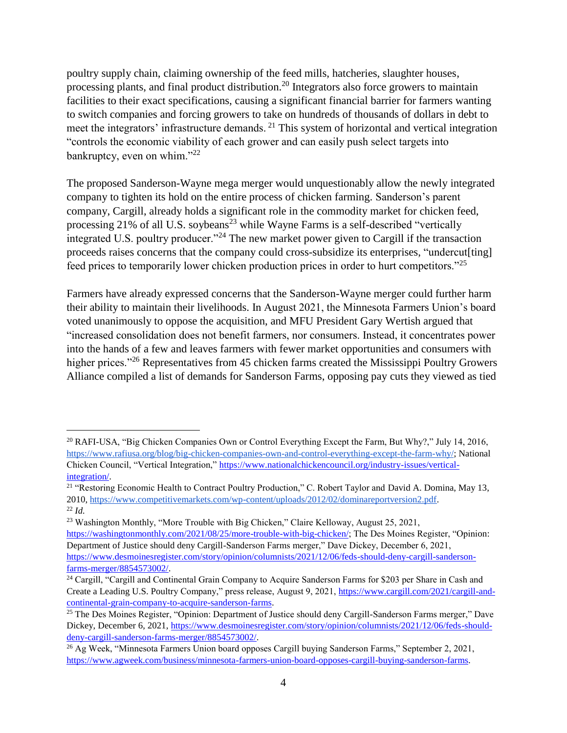poultry supply chain, claiming ownership of the feed mills, hatcheries, slaughter houses, processing plants, and final product distribution.<sup>20</sup> Integrators also force growers to maintain facilities to their exact specifications, causing a significant financial barrier for farmers wanting to switch companies and forcing growers to take on hundreds of thousands of dollars in debt to meet the integrators' infrastructure demands. <sup>21</sup> This system of horizontal and vertical integration "controls the economic viability of each grower and can easily push select targets into bankruptcy, even on whim." $^{22}$ 

The proposed Sanderson-Wayne mega merger would unquestionably allow the newly integrated company to tighten its hold on the entire process of chicken farming. Sanderson's parent company, Cargill, already holds a significant role in the commodity market for chicken feed, processing  $21\%$  of all U.S. soybeans<sup>23</sup> while Wayne Farms is a self-described "vertically integrated U.S. poultry producer."<sup>24</sup> The new market power given to Cargill if the transaction proceeds raises concerns that the company could cross-subsidize its enterprises, "undercut[ting] feed prices to temporarily lower chicken production prices in order to hurt competitors."<sup>25</sup>

Farmers have already expressed concerns that the Sanderson-Wayne merger could further harm their ability to maintain their livelihoods. In August 2021, the Minnesota Farmers Union's board voted unanimously to oppose the acquisition, and MFU President Gary Wertish argued that "increased consolidation does not benefit farmers, nor consumers. Instead, it concentrates power into the hands of a few and leaves farmers with fewer market opportunities and consumers with higher prices."<sup>26</sup> Representatives from 45 chicken farms created the Mississippi Poultry Growers Alliance compiled a list of demands for Sanderson Farms, opposing pay cuts they viewed as tied

 $\overline{a}$ 

<sup>20</sup> RAFI-USA, "Big Chicken Companies Own or Control Everything Except the Farm, But Why?," July 14, 2016, [https://www.rafiusa.org/blog/big-chicken-companies-own-and-control-everything-except-the-farm-why/;](https://www.rafiusa.org/blog/big-chicken-companies-own-and-control-everything-except-the-farm-why/) National Chicken Council, "Vertical Integration," [https://www.nationalchickencouncil.org/industry-issues/vertical](https://www.nationalchickencouncil.org/industry-issues/vertical-integration/)[integration/.](https://www.nationalchickencouncil.org/industry-issues/vertical-integration/)

<sup>&</sup>lt;sup>21</sup> "Restoring Economic Health to Contract Poultry Production," C. Robert Taylor and David A. Domina, May 13, 2010, [https://www.competitivemarkets.com/wp-content/uploads/2012/02/dominareportversion2.pdf.](https://www.competitivemarkets.com/wp-content/uploads/2012/02/dominareportversion2.pdf) <sup>22</sup> *Id.*

<sup>&</sup>lt;sup>23</sup> Washington Monthly, "More Trouble with Big Chicken," Claire Kelloway, August 25, 2021,

[https://washingtonmonthly.com/2021/08/25/more-trouble-with-big-chicken/;](https://washingtonmonthly.com/2021/08/25/more-trouble-with-big-chicken/) The Des Moines Register, "Opinion: Department of Justice should deny Cargill-Sanderson Farms merger," Dave Dickey, December 6, 2021, [https://www.desmoinesregister.com/story/opinion/columnists/2021/12/06/feds-should-deny-cargill-sanderson](https://www.desmoinesregister.com/story/opinion/columnists/2021/12/06/feds-should-deny-cargill-sanderson-farms-merger/8854573002/)[farms-merger/8854573002/.](https://www.desmoinesregister.com/story/opinion/columnists/2021/12/06/feds-should-deny-cargill-sanderson-farms-merger/8854573002/)

<sup>&</sup>lt;sup>24</sup> Cargill, "Cargill and Continental Grain Company to Acquire Sanderson Farms for \$203 per Share in Cash and Create a Leading U.S. Poultry Company," press release, August 9, 2021[, https://www.cargill.com/2021/cargill-and](https://www.cargill.com/2021/cargill-and-continental-grain-company-to-acquire-sanderson-farms)[continental-grain-company-to-acquire-sanderson-farms.](https://www.cargill.com/2021/cargill-and-continental-grain-company-to-acquire-sanderson-farms)

<sup>25</sup> The Des Moines Register, "Opinion: Department of Justice should deny Cargill-Sanderson Farms merger," Dave Dickey, December 6, 2021, [https://www.desmoinesregister.com/story/opinion/columnists/2021/12/06/feds-should](https://www.desmoinesregister.com/story/opinion/columnists/2021/12/06/feds-should-deny-cargill-sanderson-farms-merger/8854573002/)[deny-cargill-sanderson-farms-merger/8854573002/.](https://www.desmoinesregister.com/story/opinion/columnists/2021/12/06/feds-should-deny-cargill-sanderson-farms-merger/8854573002/)

<sup>26</sup> Ag Week, "Minnesota Farmers Union board opposes Cargill buying Sanderson Farms," September 2, 2021, [https://www.agweek.com/business/minnesota-farmers-union-board-opposes-cargill-buying-sanderson-farms.](https://www.agweek.com/business/minnesota-farmers-union-board-opposes-cargill-buying-sanderson-farms)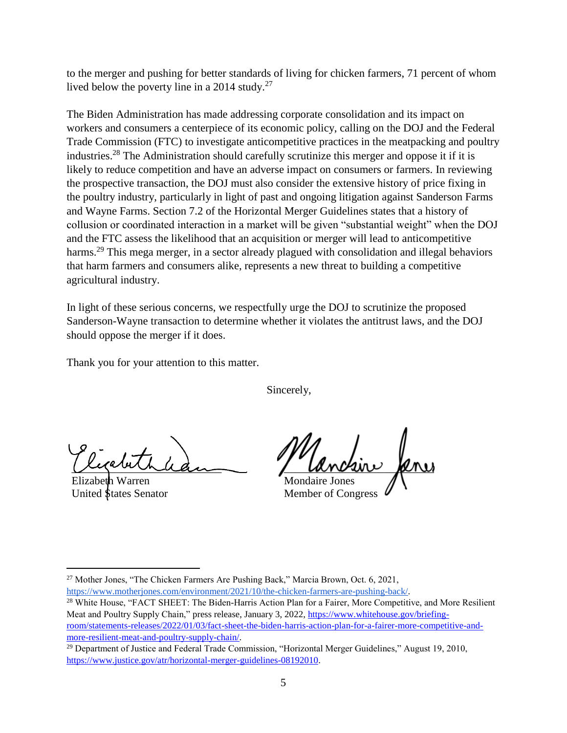to the merger and pushing for better standards of living for chicken farmers, 71 percent of whom lived below the poverty line in a 2014 study.<sup>27</sup>

The Biden Administration has made addressing corporate consolidation and its impact on workers and consumers a centerpiece of its economic policy, calling on the DOJ and the Federal Trade Commission (FTC) to investigate anticompetitive practices in the meatpacking and poultry industries.<sup>28</sup> The Administration should carefully scrutinize this merger and oppose it if it is likely to reduce competition and have an adverse impact on consumers or farmers. In reviewing the prospective transaction, the DOJ must also consider the extensive history of price fixing in the poultry industry, particularly in light of past and ongoing litigation against Sanderson Farms and Wayne Farms. Section 7.2 of the Horizontal Merger Guidelines states that a history of collusion or coordinated interaction in a market will be given "substantial weight" when the DOJ and the FTC assess the likelihood that an acquisition or merger will lead to anticompetitive harms.<sup>29</sup> This mega merger, in a sector already plagued with consolidation and illegal behaviors that harm farmers and consumers alike, represents a new threat to building a competitive agricultural industry.

In light of these serious concerns, we respectfully urge the DOJ to scrutinize the proposed Sanderson-Wayne transaction to determine whether it violates the antitrust laws, and the DOJ should oppose the merger if it does.

Thank you for your attention to this matter.

Sincerely,

riginale

Warren United States Senator

*Lanceur* peni

Mondaire Jones Member of Congress

 $\overline{a}$ <sup>27</sup> Mother Jones, "The Chicken Farmers Are Pushing Back," Marcia Brown, Oct. 6, 2021, [https://www.motherjones.com/environment/2021/10/the-chicken-farmers-are-pushing-back/.](https://www.motherjones.com/environment/2021/10/the-chicken-farmers-are-pushing-back/)

<sup>&</sup>lt;sup>28</sup> White House, "FACT SHEET: The Biden-Harris Action Plan for a Fairer, More Competitive, and More Resilient Meat and Poultry Supply Chain," press release, January 3, 2022[, https://www.whitehouse.gov/briefing](https://www.whitehouse.gov/briefing-room/statements-releases/2022/01/03/fact-sheet-the-biden-harris-action-plan-for-a-fairer-more-competitive-and-more-resilient-meat-and-poultry-supply-chain/)[room/statements-releases/2022/01/03/fact-sheet-the-biden-harris-action-plan-for-a-fairer-more-competitive-and](https://www.whitehouse.gov/briefing-room/statements-releases/2022/01/03/fact-sheet-the-biden-harris-action-plan-for-a-fairer-more-competitive-and-more-resilient-meat-and-poultry-supply-chain/)[more-resilient-meat-and-poultry-supply-chain/.](https://www.whitehouse.gov/briefing-room/statements-releases/2022/01/03/fact-sheet-the-biden-harris-action-plan-for-a-fairer-more-competitive-and-more-resilient-meat-and-poultry-supply-chain/)

<sup>29</sup> Department of Justice and Federal Trade Commission, "Horizontal Merger Guidelines," August 19, 2010, [https://www.justice.gov/atr/horizontal-merger-guidelines-08192010.](https://www.justice.gov/atr/horizontal-merger-guidelines-08192010)